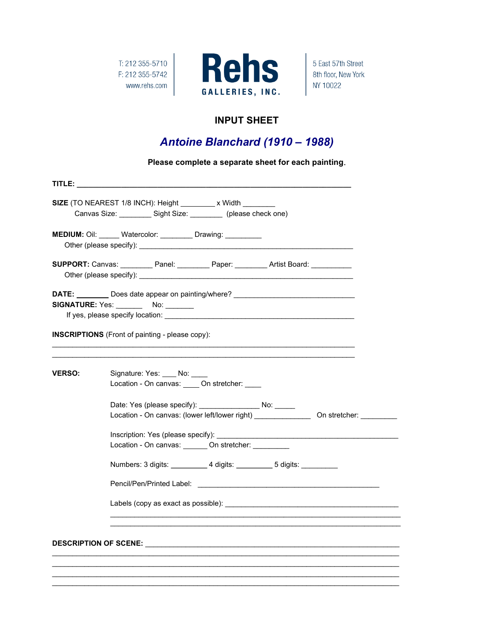T: 212 355-5710 F: 212 355-5742 www.rehs.com



5 East 57th Street 8th floor, New York NY 10022

### INPUT SHEET

## Antoine Blanchard (1910 – 1988)

Please complete a separate sheet for each painting.

|               |  |                                                        | SIZE (TO NEAREST 1/8 INCH): Height ________ x Width ________                          |  |  |  |  |
|---------------|--|--------------------------------------------------------|---------------------------------------------------------------------------------------|--|--|--|--|
|               |  |                                                        | Canvas Size: _________ Sight Size: ________ (please check one)                        |  |  |  |  |
|               |  |                                                        | <b>MEDIUM:</b> Oil: ______ Watercolor: _________ Drawing: _________                   |  |  |  |  |
|               |  |                                                        | SUPPORT: Canvas: __________Panel: __________Paper: _________Artist Board: ___________ |  |  |  |  |
|               |  | SIGNATURE: Yes: No: No:                                | DATE: ________ Does date appear on painting/where? _____________________________      |  |  |  |  |
|               |  | <b>INSCRIPTIONS</b> (Front of painting - please copy): |                                                                                       |  |  |  |  |
| <b>VERSO:</b> |  | Signature: Yes: No:                                    | Location - On canvas: _____ On stretcher: ____                                        |  |  |  |  |
|               |  |                                                        | Date: Yes (please specify): _______________________ No: ______                        |  |  |  |  |
|               |  |                                                        | Location - On canvas: _______ On stretcher: _________                                 |  |  |  |  |
|               |  |                                                        | Numbers: 3 digits: _____________4 digits: ____________5 digits:                       |  |  |  |  |
|               |  |                                                        |                                                                                       |  |  |  |  |
|               |  |                                                        |                                                                                       |  |  |  |  |
|               |  |                                                        |                                                                                       |  |  |  |  |
|               |  |                                                        |                                                                                       |  |  |  |  |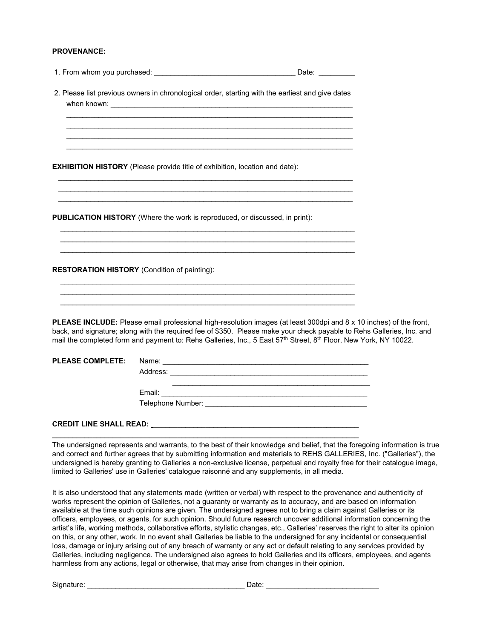#### PROVENANCE:

|  | 1. From whom you purchased: |  |  |  |
|--|-----------------------------|--|--|--|
|--|-----------------------------|--|--|--|

 2. Please list previous owners in chronological order, starting with the earliest and give dates when known:

 $\mathcal{L}_\text{max} = \frac{1}{2} \sum_{i=1}^{n} \frac{1}{2} \sum_{i=1}^{n} \frac{1}{2} \sum_{i=1}^{n} \frac{1}{2} \sum_{i=1}^{n} \frac{1}{2} \sum_{i=1}^{n} \frac{1}{2} \sum_{i=1}^{n} \frac{1}{2} \sum_{i=1}^{n} \frac{1}{2} \sum_{i=1}^{n} \frac{1}{2} \sum_{i=1}^{n} \frac{1}{2} \sum_{i=1}^{n} \frac{1}{2} \sum_{i=1}^{n} \frac{1}{2} \sum_{i=1}^{n} \frac{1$  $\mathcal{L} = \{ \mathcal{L} = \{ \mathcal{L} \} \cup \{ \mathcal{L} \} \cup \{ \mathcal{L} \} \cup \{ \mathcal{L} \} \cup \{ \mathcal{L} \} \cup \{ \mathcal{L} \} \cup \{ \mathcal{L} \} \cup \{ \mathcal{L} \} \cup \{ \mathcal{L} \} \cup \{ \mathcal{L} \} \cup \{ \mathcal{L} \} \cup \{ \mathcal{L} \} \cup \{ \mathcal{L} \} \cup \{ \mathcal{L} \} \cup \{ \mathcal{L} \} \cup \{ \mathcal{L} \} \cup \{ \mathcal{L} \} \cup$  $\mathcal{L} = \{ \mathcal{L} = \{ \mathcal{L} \} \cup \{ \mathcal{L} \} \cup \{ \mathcal{L} \} \cup \{ \mathcal{L} \} \cup \{ \mathcal{L} \} \cup \{ \mathcal{L} \} \cup \{ \mathcal{L} \} \cup \{ \mathcal{L} \} \cup \{ \mathcal{L} \} \cup \{ \mathcal{L} \} \cup \{ \mathcal{L} \} \cup \{ \mathcal{L} \} \cup \{ \mathcal{L} \} \cup \{ \mathcal{L} \} \cup \{ \mathcal{L} \} \cup \{ \mathcal{L} \} \cup \{ \mathcal{L} \} \cup$ 

 $\frac{1}{2}$  ,  $\frac{1}{2}$  ,  $\frac{1}{2}$  ,  $\frac{1}{2}$  ,  $\frac{1}{2}$  ,  $\frac{1}{2}$  ,  $\frac{1}{2}$  ,  $\frac{1}{2}$  ,  $\frac{1}{2}$  ,  $\frac{1}{2}$  ,  $\frac{1}{2}$  ,  $\frac{1}{2}$  ,  $\frac{1}{2}$  ,  $\frac{1}{2}$  ,  $\frac{1}{2}$  ,  $\frac{1}{2}$  ,  $\frac{1}{2}$  ,  $\frac{1}{2}$  ,  $\frac{1$  $\frac{1}{2}$  ,  $\frac{1}{2}$  ,  $\frac{1}{2}$  ,  $\frac{1}{2}$  ,  $\frac{1}{2}$  ,  $\frac{1}{2}$  ,  $\frac{1}{2}$  ,  $\frac{1}{2}$  ,  $\frac{1}{2}$  ,  $\frac{1}{2}$  ,  $\frac{1}{2}$  ,  $\frac{1}{2}$  ,  $\frac{1}{2}$  ,  $\frac{1}{2}$  ,  $\frac{1}{2}$  ,  $\frac{1}{2}$  ,  $\frac{1}{2}$  ,  $\frac{1}{2}$  ,  $\frac{1$  $\frac{1}{2}$  ,  $\frac{1}{2}$  ,  $\frac{1}{2}$  ,  $\frac{1}{2}$  ,  $\frac{1}{2}$  ,  $\frac{1}{2}$  ,  $\frac{1}{2}$  ,  $\frac{1}{2}$  ,  $\frac{1}{2}$  ,  $\frac{1}{2}$  ,  $\frac{1}{2}$  ,  $\frac{1}{2}$  ,  $\frac{1}{2}$  ,  $\frac{1}{2}$  ,  $\frac{1}{2}$  ,  $\frac{1}{2}$  ,  $\frac{1}{2}$  ,  $\frac{1}{2}$  ,  $\frac{1$ 

 $\mathcal{L} = \{ \mathcal{L} = \{ \mathcal{L} \} \cup \{ \mathcal{L} \} \cup \{ \mathcal{L} \} \cup \{ \mathcal{L} \} \cup \{ \mathcal{L} \} \cup \{ \mathcal{L} \} \cup \{ \mathcal{L} \} \cup \{ \mathcal{L} \} \cup \{ \mathcal{L} \} \cup \{ \mathcal{L} \} \cup \{ \mathcal{L} \} \cup \{ \mathcal{L} \} \cup \{ \mathcal{L} \} \cup \{ \mathcal{L} \} \cup \{ \mathcal{L} \} \cup \{ \mathcal{L} \} \cup \{ \mathcal{L} \} \cup$  $\overline{\phantom{a}}$  ,  $\overline{\phantom{a}}$  ,  $\overline{\phantom{a}}$  ,  $\overline{\phantom{a}}$  ,  $\overline{\phantom{a}}$  ,  $\overline{\phantom{a}}$  ,  $\overline{\phantom{a}}$  ,  $\overline{\phantom{a}}$  ,  $\overline{\phantom{a}}$  ,  $\overline{\phantom{a}}$  ,  $\overline{\phantom{a}}$  ,  $\overline{\phantom{a}}$  ,  $\overline{\phantom{a}}$  ,  $\overline{\phantom{a}}$  ,  $\overline{\phantom{a}}$  ,  $\overline{\phantom{a}}$  $\mathcal{L} = \{ \mathcal{L} = \{ \mathcal{L} \} \cup \{ \mathcal{L} \} \cup \{ \mathcal{L} \} \cup \{ \mathcal{L} \} \cup \{ \mathcal{L} \} \cup \{ \mathcal{L} \} \cup \{ \mathcal{L} \} \cup \{ \mathcal{L} \} \cup \{ \mathcal{L} \} \cup \{ \mathcal{L} \} \cup \{ \mathcal{L} \} \cup \{ \mathcal{L} \} \cup \{ \mathcal{L} \} \cup \{ \mathcal{L} \} \cup \{ \mathcal{L} \} \cup \{ \mathcal{L} \} \cup \{ \mathcal{L} \} \cup$ 

 $\mathcal{L} = \{ \mathcal{L} = \{ \mathcal{L} \} \cup \{ \mathcal{L} \} \cup \{ \mathcal{L} \} \cup \{ \mathcal{L} \} \cup \{ \mathcal{L} \} \cup \{ \mathcal{L} \} \cup \{ \mathcal{L} \} \cup \{ \mathcal{L} \} \cup \{ \mathcal{L} \} \cup \{ \mathcal{L} \} \cup \{ \mathcal{L} \} \cup \{ \mathcal{L} \} \cup \{ \mathcal{L} \} \cup \{ \mathcal{L} \} \cup \{ \mathcal{L} \} \cup \{ \mathcal{L} \} \cup \{ \mathcal{L} \} \cup$  $\mathcal{L} = \{ \mathcal{L} = \{ \mathcal{L} \} \cup \{ \mathcal{L} \} \cup \{ \mathcal{L} \} \cup \{ \mathcal{L} \} \cup \{ \mathcal{L} \} \cup \{ \mathcal{L} \} \cup \{ \mathcal{L} \} \cup \{ \mathcal{L} \} \cup \{ \mathcal{L} \} \cup \{ \mathcal{L} \} \cup \{ \mathcal{L} \} \cup \{ \mathcal{L} \} \cup \{ \mathcal{L} \} \cup \{ \mathcal{L} \} \cup \{ \mathcal{L} \} \cup \{ \mathcal{L} \} \cup \{ \mathcal{L} \} \cup$ 

EXHIBITION HISTORY (Please provide title of exhibition, location and date):

PUBLICATION HISTORY (Where the work is reproduced, or discussed, in print):

RESTORATION HISTORY (Condition of painting):

PLEASE INCLUDE: Please email professional high-resolution images (at least 300dpi and 8 x 10 inches) of the front, back, and signature; along with the required fee of \$350. Please make your check payable to Rehs Galleries, Inc. and mail the completed form and payment to: Rehs Galleries, Inc., 5 East 57<sup>th</sup> Street, 8<sup>th</sup> Floor, New York, NY 10022.

| <b>PLEASE COMPLETE:</b> | Name:             |
|-------------------------|-------------------|
|                         | Address:          |
|                         |                   |
|                         | Email:            |
|                         | Telephone Number: |
|                         |                   |

\_\_\_\_\_\_\_\_\_\_\_\_\_\_\_\_\_\_\_\_\_\_\_\_\_\_\_\_\_\_\_\_\_\_\_\_\_\_\_\_\_\_\_\_\_\_\_\_\_\_\_\_\_\_\_\_\_\_\_\_\_\_\_\_\_\_\_\_\_\_\_\_\_\_\_\_

#### CREDIT LINE SHALL READ: \_\_\_\_\_\_\_\_\_\_\_\_\_\_\_\_\_\_\_\_\_\_\_\_\_\_\_\_\_\_\_\_\_\_\_\_\_\_\_\_\_\_\_\_\_\_\_\_\_\_\_

The undersigned represents and warrants, to the best of their knowledge and belief, that the foregoing information is true and correct and further agrees that by submitting information and materials to REHS GALLERIES, Inc. ("Galleries"), the undersigned is hereby granting to Galleries a non-exclusive license, perpetual and royalty free for their catalogue image, limited to Galleries' use in Galleries' catalogue raisonné and any supplements, in all media.

It is also understood that any statements made (written or verbal) with respect to the provenance and authenticity of works represent the opinion of Galleries, not a guaranty or warranty as to accuracy, and are based on information available at the time such opinions are given. The undersigned agrees not to bring a claim against Galleries or its officers, employees, or agents, for such opinion. Should future research uncover additional information concerning the artist's life, working methods, collaborative efforts, stylistic changes, etc., Galleries' reserves the right to alter its opinion on this, or any other, work. In no event shall Galleries be liable to the undersigned for any incidental or consequential loss, damage or injury arising out of any breach of warranty or any act or default relating to any services provided by Galleries, including negligence. The undersigned also agrees to hold Galleries and its officers, employees, and agents harmless from any actions, legal or otherwise, that may arise from changes in their opinion.

Signature: \_\_\_\_\_\_\_\_\_\_\_\_\_\_\_\_\_\_\_\_\_\_\_\_\_\_\_\_\_\_\_\_\_\_\_\_\_\_\_ Date: \_\_\_\_\_\_\_\_\_\_\_\_\_\_\_\_\_\_\_\_\_\_\_\_\_\_\_\_